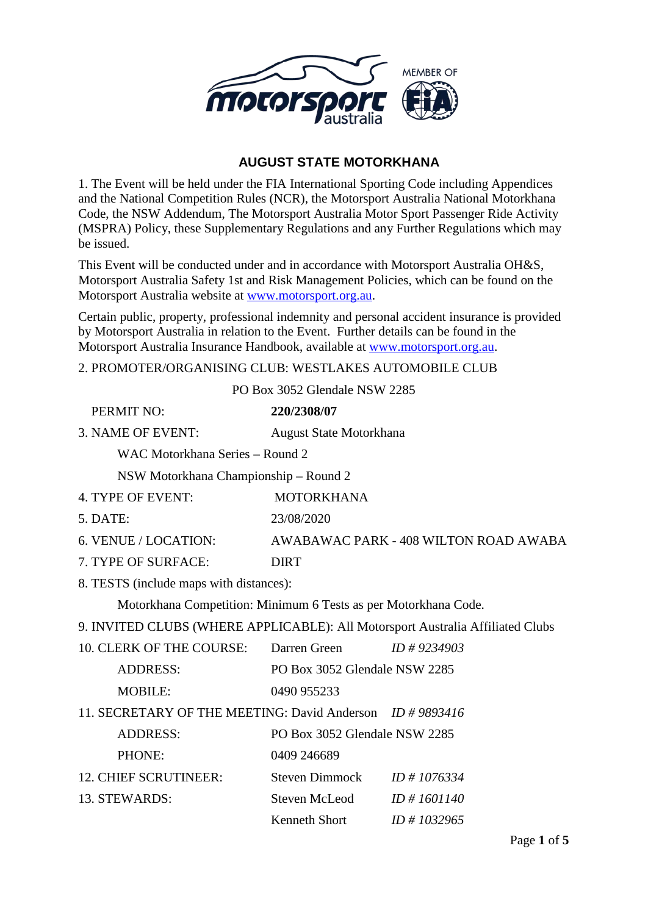

# **AUGUST STATE MOTORKHANA**

1. The Event will be held under the FIA International Sporting Code including Appendices and the National Competition Rules (NCR), the Motorsport Australia National Motorkhana Code, the NSW Addendum, The Motorsport Australia Motor Sport Passenger Ride Activity (MSPRA) Policy, these Supplementary Regulations and any Further Regulations which may be issued.

This Event will be conducted under and in accordance with Motorsport Australia OH&S, Motorsport Australia Safety 1st and Risk Management Policies, which can be found on the Motorsport Australia website at [www.motorsport.org.au.](http://www.motorsport.org.au/)

Certain public, property, professional indemnity and personal accident insurance is provided by Motorsport Australia in relation to the Event. Further details can be found in the Motorsport Australia Insurance Handbook, available at [www.motorsport.org.au.](http://www.motorsport.org.au/)

2. PROMOTER/ORGANISING CLUB: WESTLAKES AUTOMOBILE CLUB

PO Box 3052 Glendale NSW 2285

| PERMIT NO:                                                                     | 220/2308/07                    |                                       |  |
|--------------------------------------------------------------------------------|--------------------------------|---------------------------------------|--|
| 3. NAME OF EVENT:                                                              | August State Motorkhana        |                                       |  |
| WAC Motorkhana Series - Round 2                                                |                                |                                       |  |
| NSW Motorkhana Championship – Round 2                                          |                                |                                       |  |
| 4. TYPE OF EVENT:                                                              | <b>MOTORKHANA</b>              |                                       |  |
| 5. DATE:                                                                       | 23/08/2020                     |                                       |  |
| 6. VENUE / LOCATION:                                                           |                                | AWABAWAC PARK - 408 WILTON ROAD AWABA |  |
| 7. TYPE OF SURFACE:                                                            | <b>DIRT</b>                    |                                       |  |
| 8. TESTS (include maps with distances):                                        |                                |                                       |  |
| Motorkhana Competition: Minimum 6 Tests as per Motorkhana Code.                |                                |                                       |  |
| 9. INVITED CLUBS (WHERE APPLICABLE): All Motorsport Australia Affiliated Clubs |                                |                                       |  |
| 10. CLERK OF THE COURSE: Darren Green                                          |                                | $ID \# 9234903$                       |  |
| <b>ADDRESS:</b>                                                                | PO Box 3052 Glendale NSW 2285  |                                       |  |
| <b>MOBILE:</b>                                                                 | 0490 955233                    |                                       |  |
| 11. SECRETARY OF THE MEETING: David Anderson ID #9893416                       |                                |                                       |  |
| <b>ADDRESS:</b>                                                                | PO Box 3052 Glendale NSW 2285  |                                       |  |
| PHONE:                                                                         | 0409 246689                    |                                       |  |
| <b>12. CHIEF SCRUTINEER:</b>                                                   | Steven Dimmock $ID \# 1076334$ |                                       |  |
| 13. STEWARDS:                                                                  | Steven McLeod                  | $ID \# 1601140$                       |  |
|                                                                                | Kenneth Short                  | $ID \# 1032965$                       |  |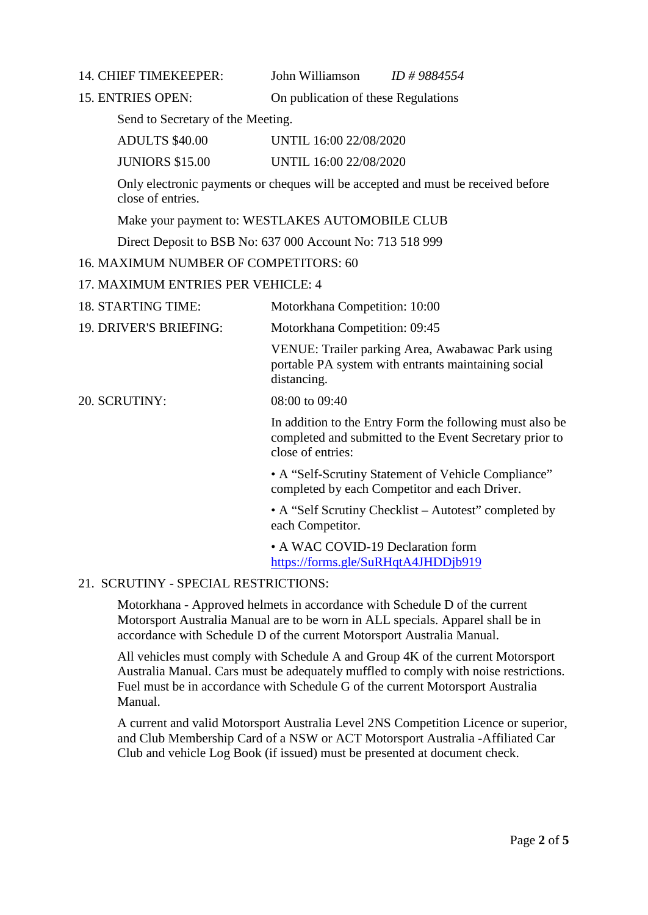14. CHIEF TIMEKEEPER: John Williamson *ID # 9884554*

15. ENTRIES OPEN: On publication of these Regulations

Send to Secretary of the Meeting.

ADULTS \$40.00 UNTIL 16:00 22/08/2020

JUNIORS \$15.00 UNTIL 16:00 22/08/2020

Only electronic payments or cheques will be accepted and must be received before close of entries.

Make your payment to: WESTLAKES AUTOMOBILE CLUB

Direct Deposit to BSB No: 637 000 Account No: 713 518 999

16. MAXIMUM NUMBER OF COMPETITORS: 60

## 17. MAXIMUM ENTRIES PER VEHICLE: 4

| <b>18. STARTING TIME:</b> | Motorkhana Competition: 10:00 |
|---------------------------|-------------------------------|
|                           |                               |

19. DRIVER'S BRIEFING: Motorkhana Competition: 09:45

VENUE: Trailer parking Area, Awabawac Park using portable PA system with entrants maintaining social distancing.

20. SCRUTINY: 08:00 to 09:40

In addition to the Entry Form the following must also be completed and submitted to the Event Secretary prior to close of entries:

• A "Self-Scrutiny Statement of Vehicle Compliance" completed by each Competitor and each Driver.

• A "Self Scrutiny Checklist – Autotest" completed by each Competitor.

• A WAC COVID-19 Declaration form <https://forms.gle/SuRHqtA4JHDDjb919>

# 21. SCRUTINY - SPECIAL RESTRICTIONS:

Motorkhana - Approved helmets in accordance with Schedule D of the current Motorsport Australia Manual are to be worn in ALL specials. Apparel shall be in accordance with Schedule D of the current Motorsport Australia Manual.

All vehicles must comply with Schedule A and Group 4K of the current Motorsport Australia Manual. Cars must be adequately muffled to comply with noise restrictions. Fuel must be in accordance with Schedule G of the current Motorsport Australia Manual.

A current and valid Motorsport Australia Level 2NS Competition Licence or superior, and Club Membership Card of a NSW or ACT Motorsport Australia -Affiliated Car Club and vehicle Log Book (if issued) must be presented at document check.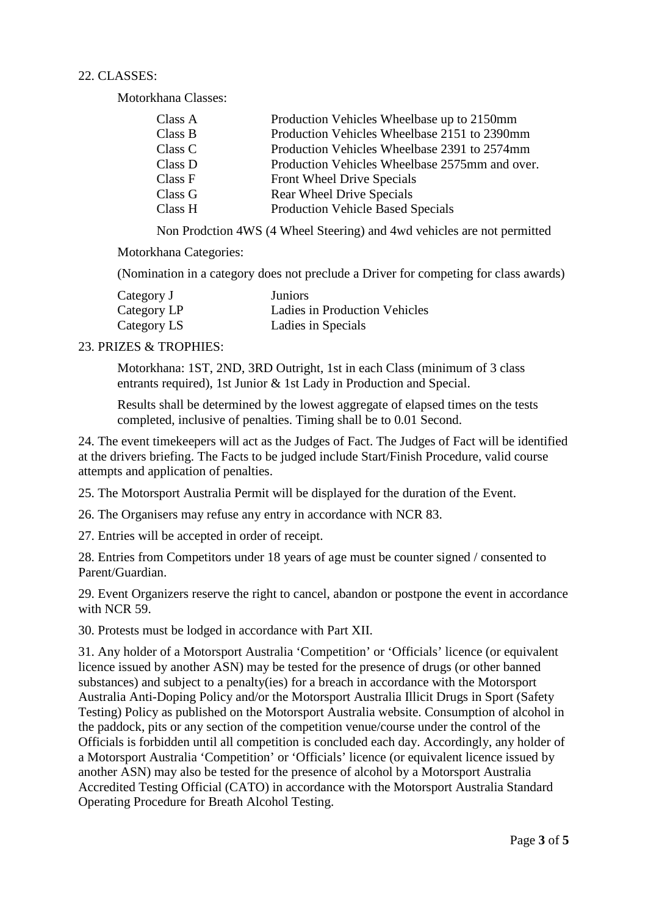### 22. CLASSES:

Motorkhana Classes:

| Class A | Production Vehicles Wheelbase up to 2150mm     |
|---------|------------------------------------------------|
| Class B | Production Vehicles Wheelbase 2151 to 2390mm   |
| Class C | Production Vehicles Wheelbase 2391 to 2574mm   |
| Class D | Production Vehicles Wheelbase 2575mm and over. |
| Class F | Front Wheel Drive Specials                     |
| Class G | <b>Rear Wheel Drive Specials</b>               |
| Class H | <b>Production Vehicle Based Specials</b>       |

Non Prodction 4WS (4 Wheel Steering) and 4wd vehicles are not permitted

Motorkhana Categories:

(Nomination in a category does not preclude a Driver for competing for class awards)

| Category J  | <b>Juniors</b>                |
|-------------|-------------------------------|
| Category LP | Ladies in Production Vehicles |
| Category LS | Ladies in Specials            |

#### 23. PRIZES & TROPHIES:

Motorkhana: 1ST, 2ND, 3RD Outright, 1st in each Class (minimum of 3 class entrants required), 1st Junior & 1st Lady in Production and Special.

Results shall be determined by the lowest aggregate of elapsed times on the tests completed, inclusive of penalties. Timing shall be to 0.01 Second.

24. The event timekeepers will act as the Judges of Fact. The Judges of Fact will be identified at the drivers briefing. The Facts to be judged include Start/Finish Procedure, valid course attempts and application of penalties.

25. The Motorsport Australia Permit will be displayed for the duration of the Event.

26. The Organisers may refuse any entry in accordance with NCR 83.

27. Entries will be accepted in order of receipt.

28. Entries from Competitors under 18 years of age must be counter signed / consented to Parent/Guardian.

29. Event Organizers reserve the right to cancel, abandon or postpone the event in accordance with NCR 59.

30. Protests must be lodged in accordance with Part XII.

31. Any holder of a Motorsport Australia 'Competition' or 'Officials' licence (or equivalent licence issued by another ASN) may be tested for the presence of drugs (or other banned substances) and subject to a penalty(ies) for a breach in accordance with the Motorsport Australia Anti-Doping Policy and/or the Motorsport Australia Illicit Drugs in Sport (Safety Testing) Policy as published on the Motorsport Australia website. Consumption of alcohol in the paddock, pits or any section of the competition venue/course under the control of the Officials is forbidden until all competition is concluded each day. Accordingly, any holder of a Motorsport Australia 'Competition' or 'Officials' licence (or equivalent licence issued by another ASN) may also be tested for the presence of alcohol by a Motorsport Australia Accredited Testing Official (CATO) in accordance with the Motorsport Australia Standard Operating Procedure for Breath Alcohol Testing.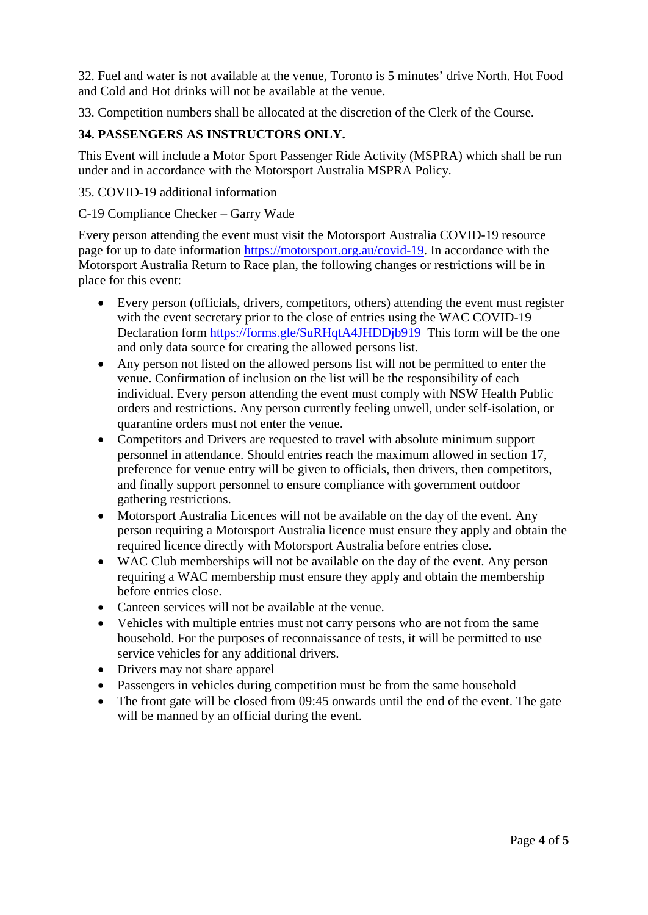32. Fuel and water is not available at the venue, Toronto is 5 minutes' drive North. Hot Food and Cold and Hot drinks will not be available at the venue.

33. Competition numbers shall be allocated at the discretion of the Clerk of the Course.

# **34. PASSENGERS AS INSTRUCTORS ONLY.**

This Event will include a Motor Sport Passenger Ride Activity (MSPRA) which shall be run under and in accordance with the Motorsport Australia MSPRA Policy.

### 35. COVID-19 additional information

#### C-19 Compliance Checker – Garry Wade

Every person attending the event must visit the Motorsport Australia COVID-19 resource page for up to date information [https://motorsport.org.au/covid-19.](https://motorsport.org.au/covid-19) In accordance with the Motorsport Australia Return to Race plan, the following changes or restrictions will be in place for this event:

- Every person (officials, drivers, competitors, others) attending the event must register with the event secretary prior to the close of entries using the WAC COVID-19 Declaration form <https://forms.gle/SuRHqtA4JHDDjb919> This form will be the one and only data source for creating the allowed persons list.
- Any person not listed on the allowed persons list will not be permitted to enter the venue. Confirmation of inclusion on the list will be the responsibility of each individual. Every person attending the event must comply with NSW Health Public orders and restrictions. Any person currently feeling unwell, under self-isolation, or quarantine orders must not enter the venue.
- Competitors and Drivers are requested to travel with absolute minimum support personnel in attendance. Should entries reach the maximum allowed in section 17, preference for venue entry will be given to officials, then drivers, then competitors, and finally support personnel to ensure compliance with government outdoor gathering restrictions.
- Motorsport Australia Licences will not be available on the day of the event. Any person requiring a Motorsport Australia licence must ensure they apply and obtain the required licence directly with Motorsport Australia before entries close.
- WAC Club memberships will not be available on the day of the event. Any person requiring a WAC membership must ensure they apply and obtain the membership before entries close.
- Canteen services will not be available at the venue.
- Vehicles with multiple entries must not carry persons who are not from the same household. For the purposes of reconnaissance of tests, it will be permitted to use service vehicles for any additional drivers.
- Drivers may not share apparel
- Passengers in vehicles during competition must be from the same household
- The front gate will be closed from 09:45 onwards until the end of the event. The gate will be manned by an official during the event.